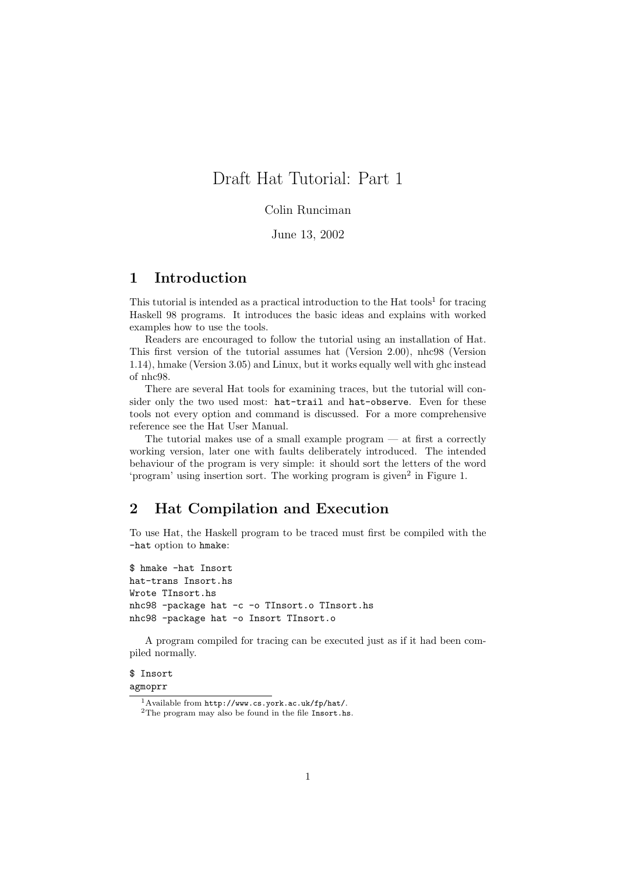# Draft Hat Tutorial: Part 1

## Colin Runciman

June 13, 2002

# 1 Introduction

This tutorial is intended as a practical introduction to the Hat tools<sup>1</sup> for tracing Haskell 98 programs. It introduces the basic ideas and explains with worked examples how to use the tools.

Readers are encouraged to follow the tutorial using an installation of Hat. This first version of the tutorial assumes hat (Version 2.00), nhc98 (Version 1.14), hmake (Version 3.05) and Linux, but it works equally well with ghc instead of nhc98.

There are several Hat tools for examining traces, but the tutorial will consider only the two used most: hat-trail and hat-observe. Even for these tools not every option and command is discussed. For a more comprehensive reference see the Hat User Manual.

The tutorial makes use of a small example program  $-$  at first a correctly working version, later one with faults deliberately introduced. The intended behaviour of the program is very simple: it should sort the letters of the word 'program' using insertion sort. The working program is given<sup>2</sup> in Figure 1.

# 2 Hat Compilation and Execution

To use Hat, the Haskell program to be traced must first be compiled with the -hat option to hmake:

```
$ hmake -hat Insort
hat-trans Insort.hs
Wrote TInsort.hs
nhc98 -package hat -c -o TInsort.o TInsort.hs
nhc98 -package hat -o Insort TInsort.o
```
A program compiled for tracing can be executed just as if it had been compiled normally.

### \$ Insort agmoprr

<sup>1</sup>Available from http://www.cs.york.ac.uk/fp/hat/.

<sup>&</sup>lt;sup>2</sup>The program may also be found in the file Insort.hs.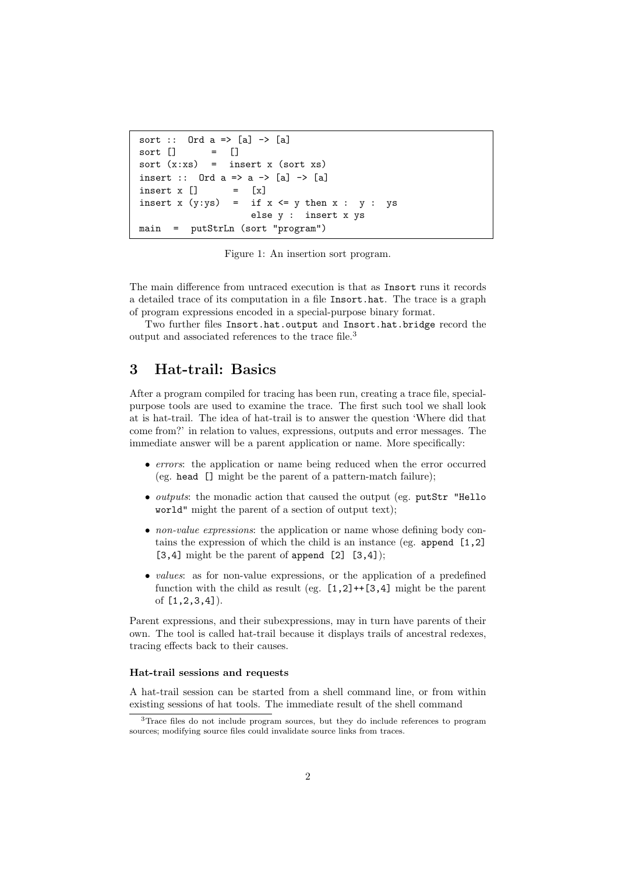```
sort :: Ord a \Rightarrow [a] \rightarrow [a]sort [ = [sort (x:xs) = insert x (sort xs)
insert :: Ord a \Rightarrow a \Rightarrow [a] \Rightarrow [a]insert x [] = [x]insert x (y:ys) = if x \le y then x : y : ys
                      else y : insert x ys
main = putStrLn (sort "program")
```
Figure 1: An insertion sort program.

The main difference from untraced execution is that as Insort runs it records a detailed trace of its computation in a file Insort.hat. The trace is a graph of program expressions encoded in a special-purpose binary format.

Two further files Insort.hat.output and Insort.hat.bridge record the output and associated references to the trace file.<sup>3</sup>

# 3 Hat-trail: Basics

After a program compiled for tracing has been run, creating a trace file, specialpurpose tools are used to examine the trace. The first such tool we shall look at is hat-trail. The idea of hat-trail is to answer the question 'Where did that come from?' in relation to values, expressions, outputs and error messages. The immediate answer will be a parent application or name. More specifically:

- errors: the application or name being reduced when the error occurred (eg. head [] might be the parent of a pattern-match failure);
- outputs: the monadic action that caused the output (eg. putStr "Hello world" might the parent of a section of output text);
- non-value expressions: the application or name whose defining body contains the expression of which the child is an instance (eg. append [1,2]  $[3,4]$  might be the parent of append  $[2]$   $[3,4]$ ;
- *values*: as for non-value expressions, or the application of a predefined function with the child as result (eg.  $[1,2]+[3,4]$  might be the parent of [1,2,3,4]).

Parent expressions, and their subexpressions, may in turn have parents of their own. The tool is called hat-trail because it displays trails of ancestral redexes, tracing effects back to their causes.

### Hat-trail sessions and requests

A hat-trail session can be started from a shell command line, or from within existing sessions of hat tools. The immediate result of the shell command

<sup>3</sup>Trace files do not include program sources, but they do include references to program sources; modifying source files could invalidate source links from traces.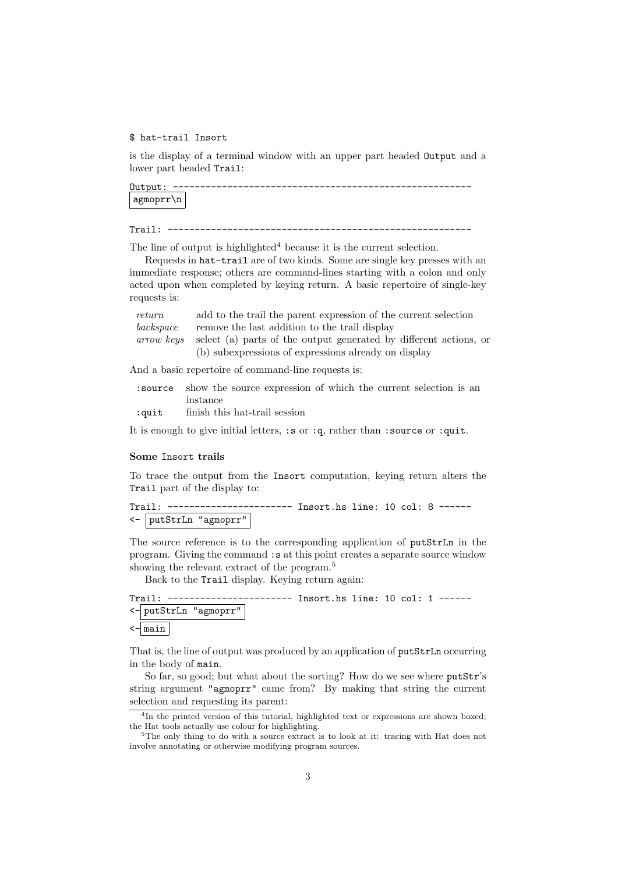### \$ hat-trail Insort

is the display of a terminal window with an upper part headed Output and a lower part headed Trail:

Output: ------------------------------------------------------ agmoprr\n

Trail: --------------------------------------------------------

The line of output is highlighted<sup>4</sup> because it is the current selection.

Requests in hat-trail are of two kinds. Some are single key presses with an immediate response; others are command-lines starting with a colon and only acted upon when completed by keying return. A basic repertoire of single-key requests is:

| return     | add to the trail the parent expression of the current selection   |
|------------|-------------------------------------------------------------------|
| backspace  | remove the last addition to the trail display                     |
| arrow keys | select (a) parts of the output generated by different actions, or |
|            | (b) subexpressions of expressions already on display              |

And a basic repertoire of command-line requests is:

|       | source show the source expression of which the current selection is an |
|-------|------------------------------------------------------------------------|
|       | instance                                                               |
| :quit | finish this hat-trail session                                          |

It is enough to give initial letters, :s or :q, rather than :source or :quit.

#### Some Insort trails

To trace the output from the Insort computation, keying return alters the Trail part of the display to:

```
Trail: ----------------------- Insort.hs line: 10 col: 8 ------
<- putStrLn "agmoprr"
```
The source reference is to the corresponding application of putStrLn in the program. Giving the command :s at this point creates a separate source window showing the relevant extract of the program.<sup>5</sup>

Back to the Trail display. Keying return again:

Trail: ----------------------- Insort.hs line: 10 col: 1 ------ <- putStrLn "agmoprr"

 $\leftarrow$  main

That is, the line of output was produced by an application of putStrLn occurring in the body of main.

So far, so good; but what about the sorting? How do we see where putStr's string argument "agmoprr" came from? By making that string the current selection and requesting its parent:

<sup>4</sup> In the printed version of this tutorial, highlighted text or expressions are shown boxed; the Hat tools actually use colour for highlighting.

<sup>5</sup>The only thing to do with a source extract is to look at it: tracing with Hat does not involve annotating or otherwise modifying program sources.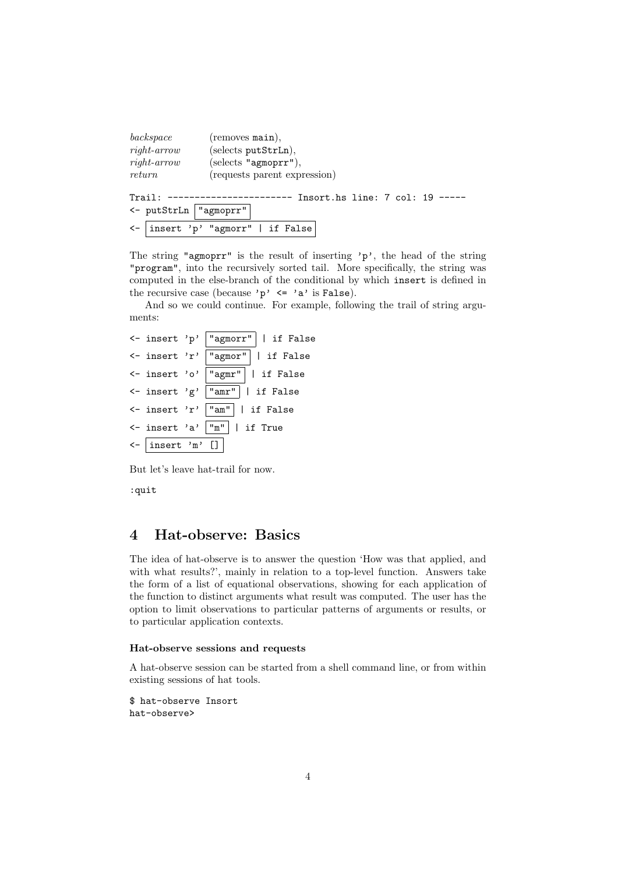| background<br>$right-arrow$<br>$right-arrow$<br>return | $($ removes main $),$<br>(selects putStrLn),<br>(selects "agmoprr"),<br>(requests parent expression) |
|--------------------------------------------------------|------------------------------------------------------------------------------------------------------|
| Trail:<br><- putStrLn   "agmoprr"                      | Insort.hs line: 7 col: 19                                                                            |
|                                                        | <-  insert 'p' "agmorr"   if False                                                                   |

The string "agmoprr" is the result of inserting 'p', the head of the string "program", into the recursively sorted tail. More specifically, the string was computed in the else-branch of the conditional by which insert is defined in the recursive case (because 'p'  $\leq$  'a' is False).

And so we could continue. For example, following the trail of string arguments:

```
<- insert 'p' "agmorr" | if False
<- insert 'r' "agmor" | if False
<- insert 'o' "agmr" | if False
<- insert 'g' "amr" | if False
<- insert 'r' "am" | if False
<- insert 'a' "m" | if True
<- insert 'm' []
```
But let's leave hat-trail for now.

:quit

# 4 Hat-observe: Basics

The idea of hat-observe is to answer the question 'How was that applied, and with what results?', mainly in relation to a top-level function. Answers take the form of a list of equational observations, showing for each application of the function to distinct arguments what result was computed. The user has the option to limit observations to particular patterns of arguments or results, or to particular application contexts.

### Hat-observe sessions and requests

A hat-observe session can be started from a shell command line, or from within existing sessions of hat tools.

```
$ hat-observe Insort
hat-observe>
```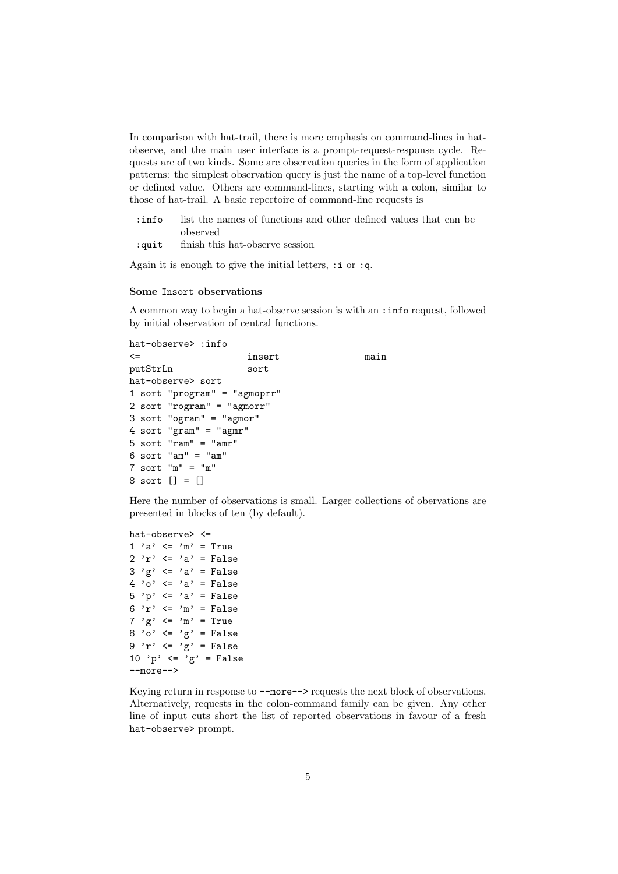In comparison with hat-trail, there is more emphasis on command-lines in hatobserve, and the main user interface is a prompt-request-response cycle. Requests are of two kinds. Some are observation queries in the form of application patterns: the simplest observation query is just the name of a top-level function or defined value. Others are command-lines, starting with a colon, similar to those of hat-trail. A basic repertoire of command-line requests is

- :info list the names of functions and other defined values that can be observed
- :quit finish this hat-observe session

Again it is enough to give the initial letters,  $:i$  or  $:q$ .

### Some Insort observations

A common way to begin a hat-observe session is with an :info request, followed by initial observation of central functions.

```
hat-observe> :info
<= insert main
putStrLn sort
hat-observe> sort
1 sort "program" = "agmoprr"
2 sort "rogram" = "agmorr"
3 sort "ogram" = "agmor"
4 sort "gram" = "agmr"
5 sort "ram" = "amr"
6 sort "am" = "am"
7 sort "m" = "m"8 sort [] = []
```
Here the number of observations is small. Larger collections of obervations are presented in blocks of ten (by default).

```
hat-observe> <=
1 'a' \langle = 'm' = True2 'r' \langle = 'a' = False
3'g' \leq a' = False4' 'o' \leq 'a' = False
5 'p' \leq 'a' = False
6 'r' \langle = 'm' = False7 \degree g \degree \leftarrow \degree m \degree = True
8'0' \leq 'g' = False9 'r' \leq 'g' = False
10 'p' \langle = 'g' = False--more-->
```
Keying return in response to --more--> requests the next block of observations. Alternatively, requests in the colon-command family can be given. Any other line of input cuts short the list of reported observations in favour of a fresh hat-observe> prompt.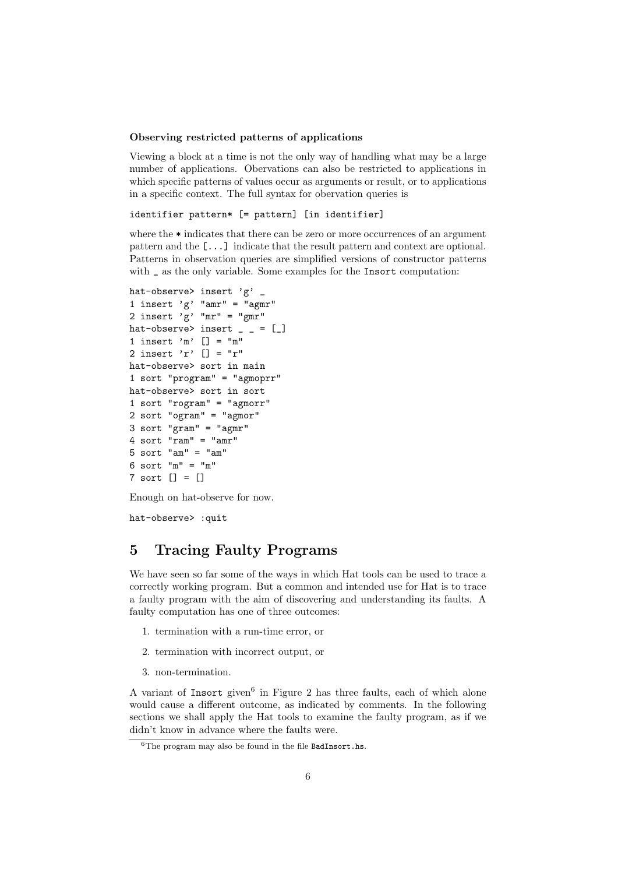### Observing restricted patterns of applications

Viewing a block at a time is not the only way of handling what may be a large number of applications. Obervations can also be restricted to applications in which specific patterns of values occur as arguments or result, or to applications in a specific context. The full syntax for obervation queries is

```
identifier pattern* [= pattern] [in identifier]
```
where the  $*$  indicates that there can be zero or more occurrences of an argument pattern and the [...] indicate that the result pattern and context are optional. Patterns in observation queries are simplified versions of constructor patterns with <sub>s</sub> as the only variable. Some examples for the Insort computation:

```
hat-observe> insert 'g' _
1 insert 'g' "amr" = "agmr"
2 insert 'g' "mr" = "gmr"
hat-observe> insert \_ = [1 insert 'm' [] = "m"
2 insert 'r' [] = "r"
hat-observe> sort in main
1 sort "program" = "agmoprr"
hat-observe> sort in sort
1 sort "rogram" = "agmorr"
2 sort "ogram" = "agmor"
3 sort "gram" = "agmr"
4 sort "ram" = "amr"
5 sort "am" = "am"
6 sort "m" = "m"
7 sort [] = []
```
Enough on hat-observe for now.

hat-observe> :quit

# 5 Tracing Faulty Programs

We have seen so far some of the ways in which Hat tools can be used to trace a correctly working program. But a common and intended use for Hat is to trace a faulty program with the aim of discovering and understanding its faults. A faulty computation has one of three outcomes:

- 1. termination with a run-time error, or
- 2. termination with incorrect output, or
- 3. non-termination.

A variant of Insort given<sup>6</sup> in Figure 2 has three faults, each of which alone would cause a different outcome, as indicated by comments. In the following sections we shall apply the Hat tools to examine the faulty program, as if we didn't know in advance where the faults were.

 $6$ The program may also be found in the file BadInsort.hs.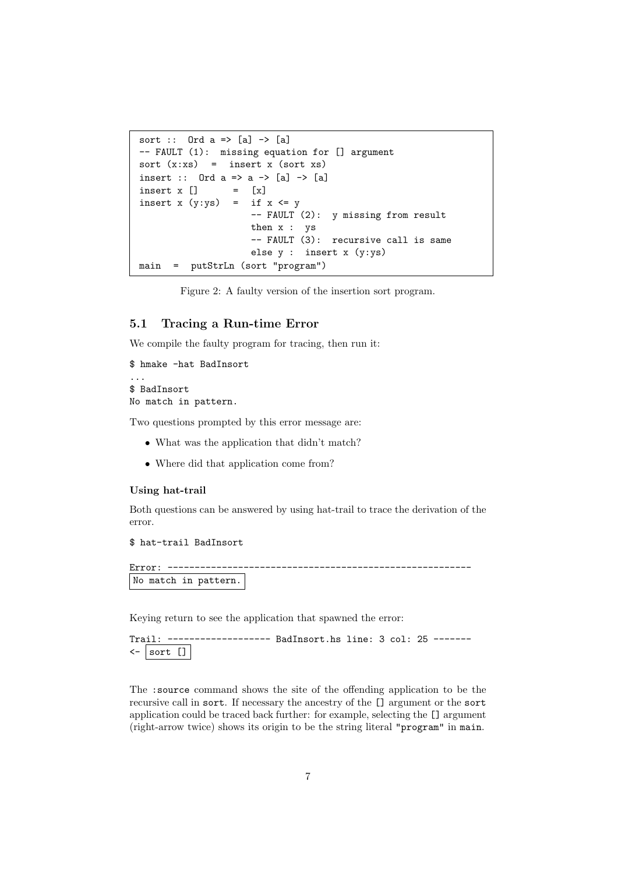```
sort :: Ord a \Rightarrow [a] \Rightarrow [a]-- FAULT (1): missing equation for [] argument
sort (x:xs) = insert x (sort xs)insert :: Ord a \Rightarrow a \Rightarrow [a] \Rightarrow [a]insert x [] = [x]
insert x (y:ys) = if x \leq y-- FAULT (2): y missing from result
                      then x : ys
                      -- FAULT (3): recursive call is same
                      else y : insert x (y:ys)
main = putStrLn (sort "program")
```
Figure 2: A faulty version of the insertion sort program.

## 5.1 Tracing a Run-time Error

We compile the faulty program for tracing, then run it:

```
$ hmake -hat BadInsort
...
$ BadInsort
No match in pattern.
```
Two questions prompted by this error message are:

- What was the application that didn't match?
- Where did that application come from?

#### Using hat-trail

Both questions can be answered by using hat-trail to trace the derivation of the error.

\$ hat-trail BadInsort

```
Error: --------------------------------------------------------
No match in pattern.
```
Keying return to see the application that spawned the error:

```
Trail: ------------------- BadInsort.hs line: 3 col: 25 -------
\leftarrow sort []
```
The :source command shows the site of the offending application to be the recursive call in sort. If necessary the ancestry of the [] argument or the sort application could be traced back further: for example, selecting the [] argument (right-arrow twice) shows its origin to be the string literal "program" in main.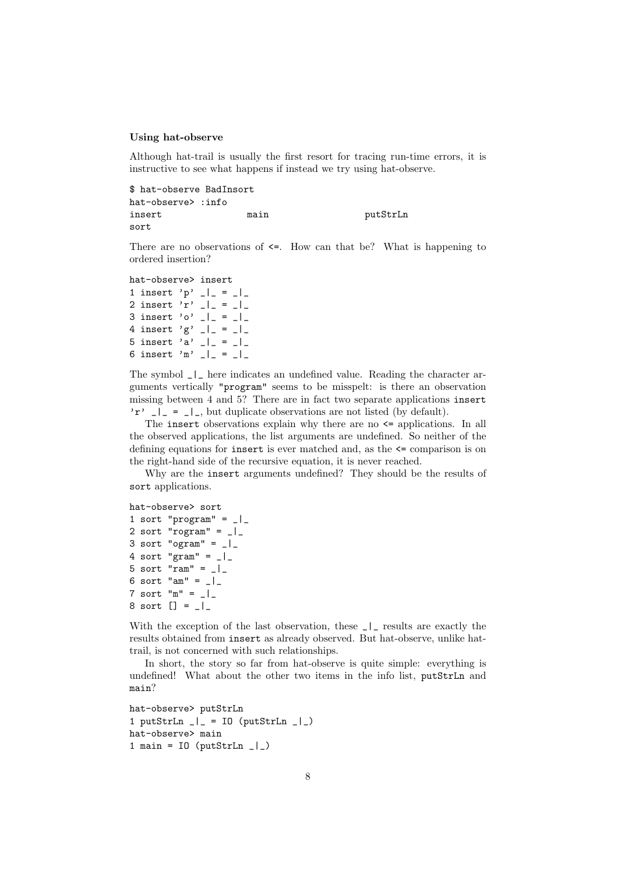#### Using hat-observe

Although hat-trail is usually the first resort for tracing run-time errors, it is instructive to see what happens if instead we try using hat-observe.

\$ hat-observe BadInsort hat-observe> :info insert main main putStrLn sort

There are no observations of  $\leq$ . How can that be? What is happening to ordered insertion?

```
hat-observe> insert
1 insert 'p' \vert \vert = \vert \vert2 insert 'r' \vert \vert = \vert = \vert \vert3 insert 'o' \vert \vert = \vert \vert4 insert 'g' \vert \vert = \vert = \vert \vert5 insert 'a' \vert \vert = \vert \vert6 insert 'm' \lfloor \rfloor = \lfloor \rfloor
```
The symbol \_|\_ here indicates an undefined value. Reading the character arguments vertically "program" seems to be misspelt: is there an observation missing between 4 and 5? There are in fact two separate applications insert 'r'  $\lfloor \cdot \rfloor = \lfloor \cdot \rfloor$ , but duplicate observations are not listed (by default).

The insert observations explain why there are no  $\leq$  applications. In all the observed applications, the list arguments are undefined. So neither of the defining equations for insert is ever matched and, as the <= comparison is on the right-hand side of the recursive equation, it is never reached.

Why are the insert arguments undefined? They should be the results of sort applications.

```
hat-observe> sort
1 sort "program" = \vert2 sort "rogram" = \lfloor3 sort "ogram" = \lfloor4 sort "gram" = \lfloor|
5 sort "ram" = \lfloor6 sort "am" = \lfloor7 sort "m" = _{-}|8 sort [] = _|_
```
With the exception of the last observation, these  $\Box$  results are exactly the results obtained from insert as already observed. But hat-observe, unlike hattrail, is not concerned with such relationships.

In short, the story so far from hat-observe is quite simple: everything is undefined! What about the other two items in the info list, putStrLn and main?

```
hat-observe> putStrLn
1 putStrLn \lfloor \rfloor = IO (putStrLn \lfloor \rfloor)
hat-observe> main
1 main = 10 (putStrLn \lfloor \rfloor)
```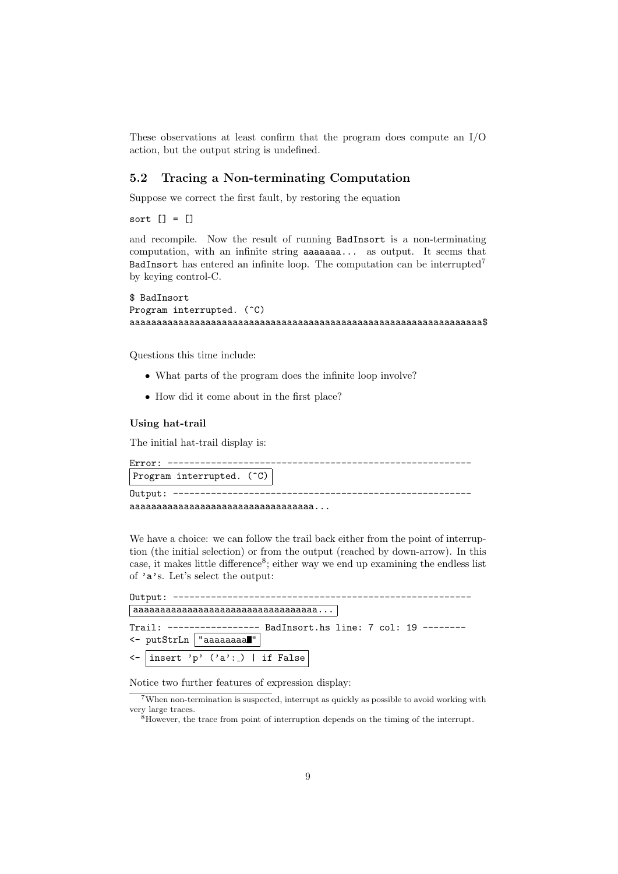These observations at least confirm that the program does compute an I/O action, but the output string is undefined.

## 5.2 Tracing a Non-terminating Computation

Suppose we correct the first fault, by restoring the equation

sort [] = []

and recompile. Now the result of running BadInsort is a non-terminating computation, with an infinite string aaaaaaa... as output. It seems that BadInsort has entered an infinite loop. The computation can be interrupted<sup>7</sup> by keying control-C.

#### \$ BadInsort

```
Program interrupted. (<sup>\degreeC)</sup>
aaaaaaaaaaaaaaaaaaaaaaaaaaaaaaaaaaaaaaaaaaaaaaaaaaaaaaaaaaaaaaaaa$
```
Questions this time include:

- What parts of the program does the infinite loop involve?
- How did it come about in the first place?

### Using hat-trail

The initial hat-trail display is:

| $Error: -$                                  |  |
|---------------------------------------------|--|
| Program interrupted. (^C)                   |  |
| 0utput: ------------------------------      |  |
| $a$ aaaaaaaaaaaaaaaaaaaaaaaaaaaaaaa $\dots$ |  |

We have a choice: we can follow the trail back either from the point of interruption (the initial selection) or from the output (reached by down-arrow). In this case, it makes little difference<sup>8</sup>; either way we end up examining the endless list of 'a's. Let's select the output:

| Output: ---------------                                                                   |  |
|-------------------------------------------------------------------------------------------|--|
| $ $ aaaaaaaaaaaaaaaaaaaaaaaaaaaaaaaa $\dots $                                             |  |
| Trail: ---------------- BadInsort.hs line: 7 col: 19 --------<br><- putStrLn   "aaaaaaaa" |  |
| $\leftarrow$   insert 'p' ('a': )   if False                                              |  |

Notice two further features of expression display:

<sup>7</sup>When non-termination is suspected, interrupt as quickly as possible to avoid working with very large traces.

<sup>&</sup>lt;sup>8</sup>However, the trace from point of interruption depends on the timing of the interrupt.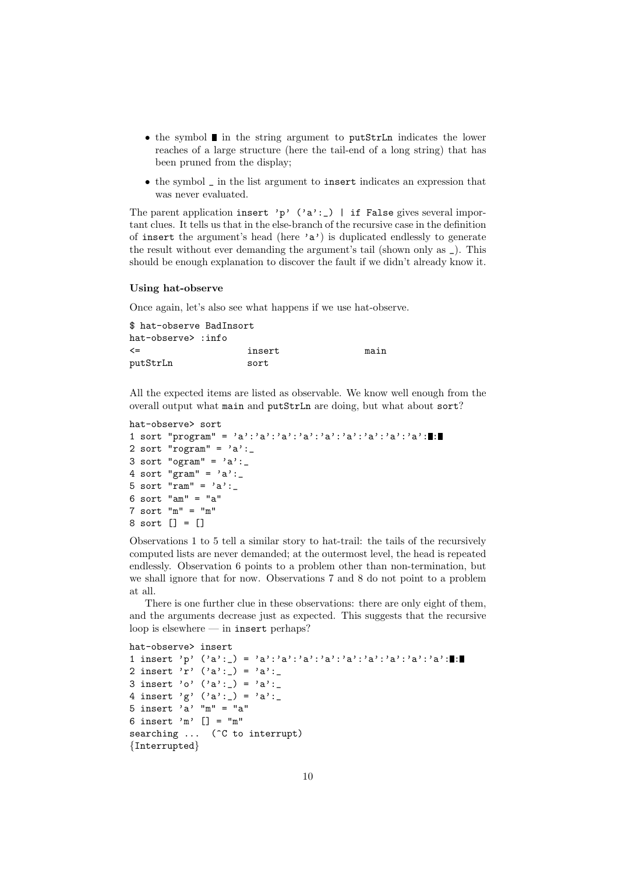- $\bullet$  the symbol  $\blacksquare$  in the string argument to putStrLn indicates the lower reaches of a large structure (here the tail-end of a long string) that has been pruned from the display;
- the symbol \_ in the list argument to insert indicates an expression that was never evaluated.

The parent application insert 'p'  $('a':-)$  | if False gives several important clues. It tells us that in the else-branch of the recursive case in the definition of insert the argument's head (here 'a') is duplicated endlessly to generate the result without ever demanding the argument's tail (shown only as \_). This should be enough explanation to discover the fault if we didn't already know it.

### Using hat-observe

Once again, let's also see what happens if we use hat-observe.

| \$ hat-observe BadInsort |        |      |
|--------------------------|--------|------|
| hat-observe> :info       |        |      |
| $\leq$                   | insert | main |
| putStrLn                 | sort   |      |

All the expected items are listed as observable. We know well enough from the overall output what main and putStrLn are doing, but what about sort?

```
hat-observe> sort
1 sort "program" = 'a':'a':'a':'a':'a':'a':'a':'a':'a': :
2 sort "rogram" = 'a":
3 sort "ogram" = 'a':4 sort "gram" = 'a":
5 sort "ram" = 'a":
6 sort "am" = "a"
7 sort "m" = "m"
8 sort [] = []
```
Observations 1 to 5 tell a similar story to hat-trail: the tails of the recursively computed lists are never demanded; at the outermost level, the head is repeated endlessly. Observation 6 points to a problem other than non-termination, but we shall ignore that for now. Observations 7 and 8 do not point to a problem at all.

There is one further clue in these observations: there are only eight of them, and the arguments decrease just as expected. This suggests that the recursive loop is elsewhere — in insert perhaps?

```
hat-observe> insert
1 insert 'p' ('a':_) = 'a':'a':'a':'a':'a':'a':'a':'a':'a': :
2 insert 'r' ('a':') = 'a':'3 insert 'o' ('a':') = 'a':4 insert 'g' ('a':') = 'a':5 insert 'a' m'' = "a"6 insert 'm' [] = "m"
searching ... (<sup>^</sup>C to interrupt)
{Interrupted}
```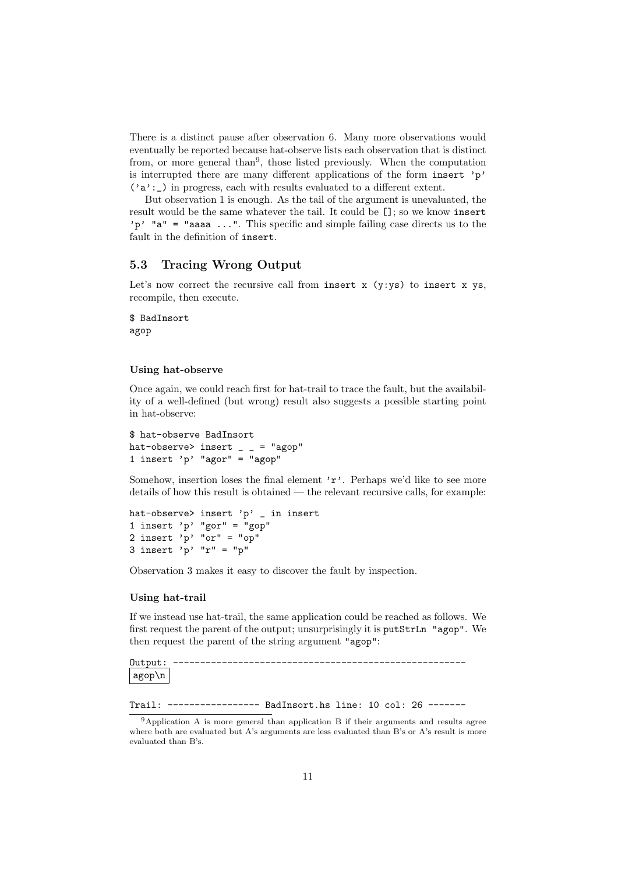There is a distinct pause after observation 6. Many more observations would eventually be reported because hat-observe lists each observation that is distinct from, or more general than<sup>9</sup>, those listed previously. When the computation is interrupted there are many different applications of the form insert 'p'  $('a':')$  in progress, each with results evaluated to a different extent.

But observation 1 is enough. As the tail of the argument is unevaluated, the result would be the same whatever the tail. It could be []; so we know insert 'p'  $a'' =$  "aaaa ...". This specific and simple failing case directs us to the fault in the definition of insert.

### 5.3 Tracing Wrong Output

Let's now correct the recursive call from insert  $x$  (y:ys) to insert  $x$  ys, recompile, then execute.

\$ BadInsort agop

### Using hat-observe

Once again, we could reach first for hat-trail to trace the fault, but the availability of a well-defined (but wrong) result also suggests a possible starting point in hat-observe:

```
$ hat-observe BadInsort
hat-observe> insert = = "agop"
1 insert 'p' "agor" = "agop"
```
Somehow, insertion loses the final element  $r$ . Perhaps we'd like to see more details of how this result is obtained — the relevant recursive calls, for example:

```
hat-observe> insert 'p' \overline{\phantom{a}} in insert
1 insert 'p' "gor" = "gop"
2 insert 'p' "or" = "op"
3 insert 'p' "r" = "p"
```
Observation 3 makes it easy to discover the fault by inspection.

#### Using hat-trail

If we instead use hat-trail, the same application could be reached as follows. We first request the parent of the output; unsurprisingly it is putStrLn "agop". We then request the parent of the string argument "agop":

```
Output: ------------------------------------------------------
agop\n
```
Trail: ----------------- BadInsort.hs line: 10 col: 26 -------

<sup>&</sup>lt;sup>9</sup>Application A is more general than application B if their arguments and results agree where both are evaluated but A's arguments are less evaluated than B's or A's result is more evaluated than B's.